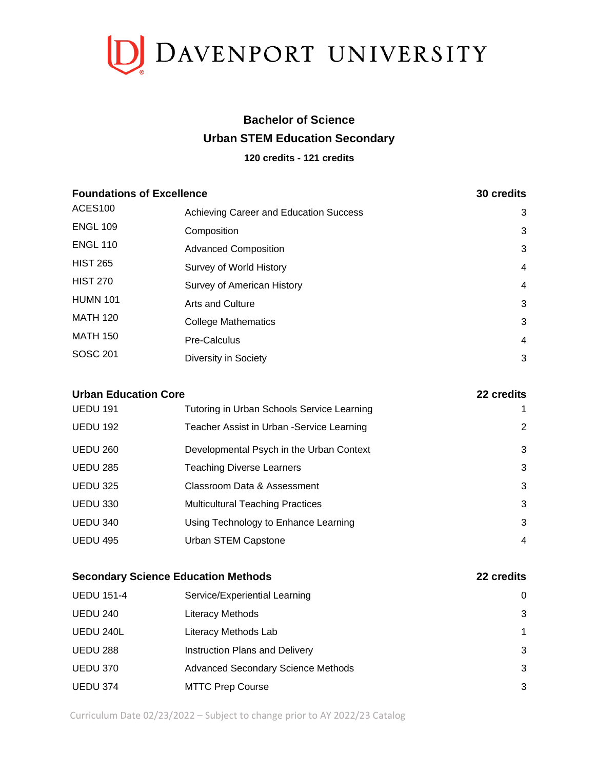

## **Bachelor of Science Urban STEM Education Secondary**

#### **120 credits - 121 credits**

| <b>Foundations of Excellence</b> |                                        | 30 credits |
|----------------------------------|----------------------------------------|------------|
| ACES <sub>100</sub>              | Achieving Career and Education Success | 3          |
| <b>ENGL 109</b>                  | Composition                            | 3          |
| <b>ENGL 110</b>                  | <b>Advanced Composition</b>            | 3          |
| <b>HIST 265</b>                  | Survey of World History                | 4          |
| <b>HIST 270</b>                  | Survey of American History             | 4          |
| <b>HUMN 101</b>                  | <b>Arts and Culture</b>                | 3          |
| <b>MATH 120</b>                  | <b>College Mathematics</b>             | 3          |
| <b>MATH 150</b>                  | Pre-Calculus                           | 4          |
| <b>SOSC 201</b>                  | Diversity in Society                   | 3          |

| <b>Urban Education Core</b> |                                            | 22 credits |
|-----------------------------|--------------------------------------------|------------|
| <b>UEDU 191</b>             | Tutoring in Urban Schools Service Learning | 1          |
| <b>UEDU 192</b>             | Teacher Assist in Urban -Service Learning  | 2          |
| <b>UEDU 260</b>             | Developmental Psych in the Urban Context   | 3          |
| <b>UEDU 285</b>             | <b>Teaching Diverse Learners</b>           | 3          |
| <b>UEDU 325</b>             | Classroom Data & Assessment                | 3          |
| <b>UEDU 330</b>             | <b>Multicultural Teaching Practices</b>    | 3          |
| <b>UEDU 340</b>             | Using Technology to Enhance Learning       | 3          |
| <b>UEDU 495</b>             | Urban STEM Capstone                        | 4          |
|                             |                                            |            |

| <b>Secondary Science Education Methods</b> |                                           | 22 credits |
|--------------------------------------------|-------------------------------------------|------------|
| <b>UEDU 151-4</b>                          | Service/Experiential Learning             | $\Omega$   |
| <b>UEDU 240</b>                            | Literacy Methods                          | 3          |
| UEDU 240L                                  | Literacy Methods Lab                      | 1          |
| <b>UEDU 288</b>                            | Instruction Plans and Delivery            | 3          |
| UEDU 370                                   | <b>Advanced Secondary Science Methods</b> | 3          |
| <b>UEDU 374</b>                            | <b>MTTC Prep Course</b>                   | 3          |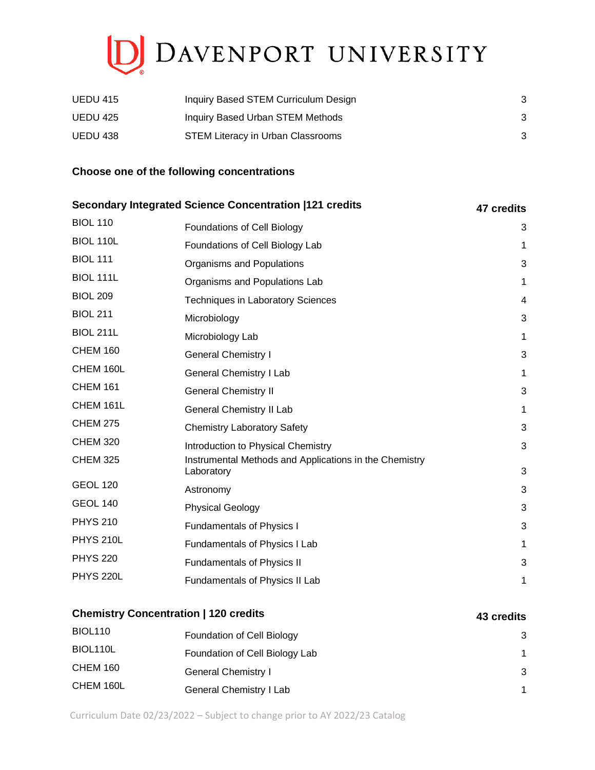# DAVENPORT UNIVERSITY

| <b>UEDU 415</b> | Inquiry Based STEM Curriculum Design |  |
|-----------------|--------------------------------------|--|
| UEDU 425        | Inquiry Based Urban STEM Methods     |  |
| UEDU 438        | STEM Literacy in Urban Classrooms    |  |

#### **Choose one of the following concentrations**

|                  | Secondary Integrated Science Concentration  121 credits              | 47 credits  |
|------------------|----------------------------------------------------------------------|-------------|
| <b>BIOL 110</b>  | <b>Foundations of Cell Biology</b>                                   | 3           |
| BIOL 110L        | Foundations of Cell Biology Lab                                      | 1           |
| <b>BIOL 111</b>  | Organisms and Populations                                            | 3           |
| <b>BIOL 111L</b> | Organisms and Populations Lab                                        | $\mathbf 1$ |
| <b>BIOL 209</b>  | <b>Techniques in Laboratory Sciences</b>                             | 4           |
| <b>BIOL 211</b>  | Microbiology                                                         | 3           |
| <b>BIOL 211L</b> | Microbiology Lab                                                     | 1           |
| <b>CHEM 160</b>  | <b>General Chemistry I</b>                                           | 3           |
| CHEM 160L        | <b>General Chemistry I Lab</b>                                       | 1           |
| <b>CHEM 161</b>  | <b>General Chemistry II</b>                                          | 3           |
| CHEM 161L        | <b>General Chemistry II Lab</b>                                      | $\mathbf 1$ |
| <b>CHEM 275</b>  | <b>Chemistry Laboratory Safety</b>                                   | 3           |
| <b>CHEM 320</b>  | Introduction to Physical Chemistry                                   | 3           |
| <b>CHEM 325</b>  | Instrumental Methods and Applications in the Chemistry<br>Laboratory | 3           |
| <b>GEOL 120</b>  | Astronomy                                                            | 3           |
| <b>GEOL 140</b>  | <b>Physical Geology</b>                                              | 3           |
| <b>PHYS 210</b>  | <b>Fundamentals of Physics I</b>                                     | 3           |
| <b>PHYS 210L</b> | Fundamentals of Physics I Lab                                        | 1           |
| <b>PHYS 220</b>  | <b>Fundamentals of Physics II</b>                                    | 3           |
| <b>PHYS 220L</b> | Fundamentals of Physics II Lab                                       | 1           |
|                  |                                                                      |             |

## **Chemistry Concentration | 120 credits 43 credits 43 credits**

## BIOL110 **Foundation of Cell Biology 3** 3 BIOL110L **Foundation of Cell Biology Lab** 1 CHEM 160 General Chemistry I 3 CHEM 160L General Chemistry I Lab 1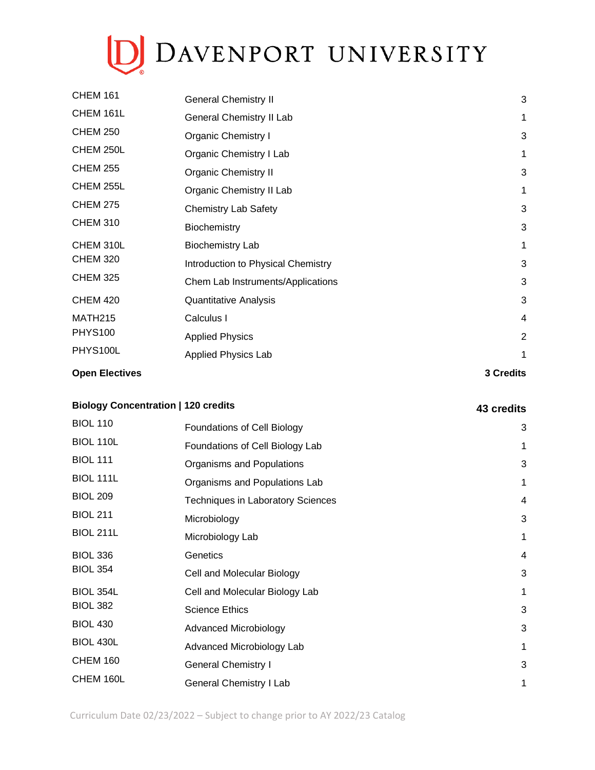# D DAVENPORT UNIVERSITY

| <b>Open Electives</b> |                                    | 3 Credits      |
|-----------------------|------------------------------------|----------------|
| PHYS100L              | <b>Applied Physics Lab</b>         | 1              |
| <b>PHYS100</b>        | <b>Applied Physics</b>             | $\overline{2}$ |
| <b>MATH215</b>        | Calculus I                         | $\overline{4}$ |
| <b>CHEM 420</b>       | <b>Quantitative Analysis</b>       | 3              |
| <b>CHEM 325</b>       | Chem Lab Instruments/Applications  | 3              |
| <b>CHEM 320</b>       | Introduction to Physical Chemistry | 3              |
| CHEM 310L             | <b>Biochemistry Lab</b>            | 1              |
| <b>CHEM 310</b>       | Biochemistry                       | 3              |
| <b>CHEM 275</b>       | <b>Chemistry Lab Safety</b>        | 3              |
| CHEM 255L             | Organic Chemistry II Lab           | 1              |
| <b>CHEM 255</b>       | <b>Organic Chemistry II</b>        | 3              |
| CHEM 250L             | Organic Chemistry I Lab            | 1              |
| <b>CHEM 250</b>       | <b>Organic Chemistry I</b>         | 3              |
| CHEM 161L             | General Chemistry II Lab           | $\mathbf{1}$   |
| <b>CHEM 161</b>       | <b>General Chemistry II</b>        | 3              |

## **Biology Concentration | 120 credits 43 credits**

| <b>BIOL 110</b>  | <b>Foundations of Cell Biology</b>       | 3            |
|------------------|------------------------------------------|--------------|
| <b>BIOL 110L</b> | Foundations of Cell Biology Lab          | 1            |
| <b>BIOL 111</b>  | Organisms and Populations                | 3            |
| <b>BIOL 111L</b> | Organisms and Populations Lab            | 1            |
| <b>BIOL 209</b>  | <b>Techniques in Laboratory Sciences</b> | 4            |
| <b>BIOL 211</b>  | Microbiology                             | 3            |
| <b>BIOL 211L</b> | Microbiology Lab                         | $\mathbf{1}$ |
| <b>BIOL 336</b>  | Genetics                                 | 4            |
| <b>BIOL 354</b>  | Cell and Molecular Biology               | 3            |
| <b>BIOL 354L</b> | Cell and Molecular Biology Lab           | $\mathbf 1$  |
| <b>BIOL 382</b>  | <b>Science Ethics</b>                    | 3            |
| <b>BIOL 430</b>  | <b>Advanced Microbiology</b>             | 3            |
| <b>BIOL 430L</b> | Advanced Microbiology Lab                | $\mathbf{1}$ |
| <b>CHEM 160</b>  | <b>General Chemistry I</b>               | 3            |
| CHEM 160L        | <b>General Chemistry I Lab</b>           | 1            |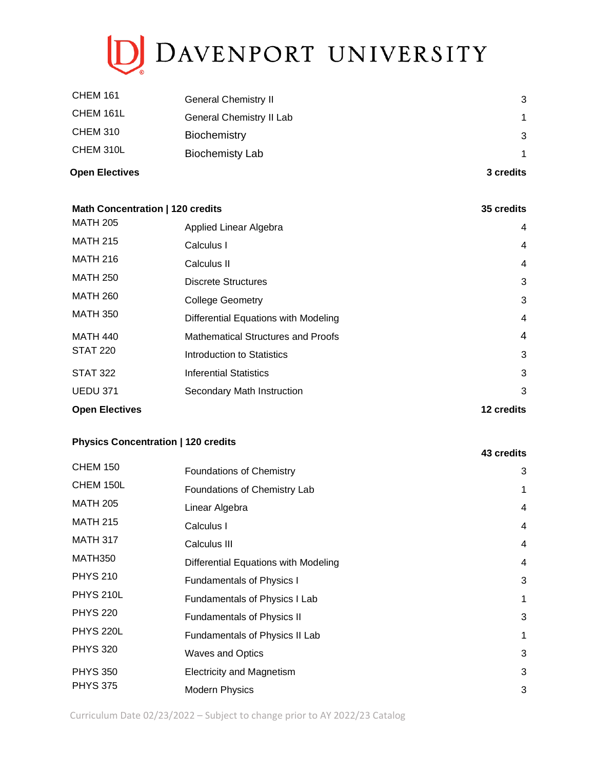# D DAVENPORT UNIVERSITY

| <b>Open Electives</b> |                             | 3 credits    |
|-----------------------|-----------------------------|--------------|
| CHEM 310L             | <b>Biochemisty Lab</b>      | $\mathbf{1}$ |
| CHEM 310              | <b>Biochemistry</b>         | 3            |
| CHEM 161L             | General Chemistry II Lab    | 1            |
| <b>CHEM 161</b>       | <b>General Chemistry II</b> | 3            |

| Math Concentration   120 credits |                                           | 35 credits     |
|----------------------------------|-------------------------------------------|----------------|
| <b>MATH 205</b>                  | Applied Linear Algebra                    | 4              |
| <b>MATH 215</b>                  | Calculus I                                | $\overline{4}$ |
| <b>MATH 216</b>                  | Calculus II                               | 4              |
| <b>MATH 250</b>                  | <b>Discrete Structures</b>                | 3              |
| <b>MATH 260</b>                  | <b>College Geometry</b>                   | 3              |
| <b>MATH 350</b>                  | Differential Equations with Modeling      | 4              |
| <b>MATH 440</b>                  | <b>Mathematical Structures and Proofs</b> | 4              |
| <b>STAT 220</b>                  | Introduction to Statistics                | 3              |
| <b>STAT 322</b>                  | <b>Inferential Statistics</b>             | 3              |
| <b>UEDU 371</b>                  | Secondary Math Instruction                | 3              |
| <b>Open Electives</b>            |                                           | 12 credits     |

### **Physics Concentration | 120 credits**

| <b>CHEM 150</b>  | <b>Foundations of Chemistry</b>      | 3 |
|------------------|--------------------------------------|---|
| CHEM 150L        | Foundations of Chemistry Lab         | 1 |
| <b>MATH 205</b>  | Linear Algebra                       | 4 |
| <b>MATH 215</b>  | Calculus I                           | 4 |
| <b>MATH 317</b>  | Calculus III                         | 4 |
| MATH350          | Differential Equations with Modeling | 4 |
| <b>PHYS 210</b>  | <b>Fundamentals of Physics I</b>     | 3 |
| <b>PHYS 210L</b> | Fundamentals of Physics I Lab        | 1 |
| <b>PHYS 220</b>  | <b>Fundamentals of Physics II</b>    | 3 |
| <b>PHYS 220L</b> | Fundamentals of Physics II Lab       | 1 |
| <b>PHYS 320</b>  | <b>Waves and Optics</b>              | 3 |
| <b>PHYS 350</b>  | <b>Electricity and Magnetism</b>     | 3 |
| <b>PHYS 375</b>  | <b>Modern Physics</b>                | 3 |

**43 credits**